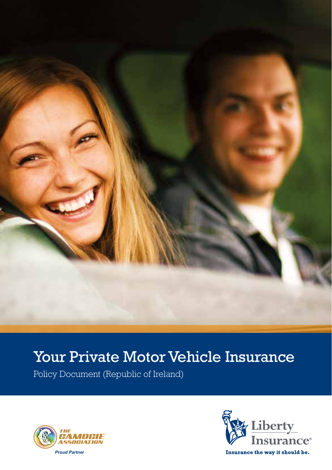

# Your Private Motor Vehicle Insurance

Policy Document (Republic of Ireland)



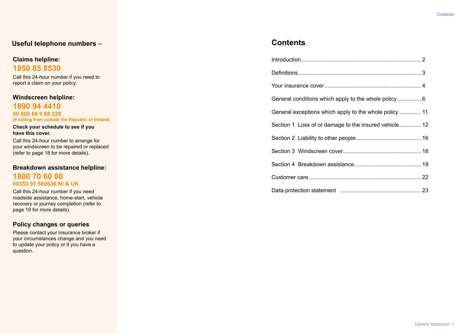# **Useful telephone numbers** –

# **Claims helpline: 1850 85 8530**

Call this 24-hour number if you need to report a claim on your policy.

# **Windscreen helpline:**

**1890 94 4410 00 800 88 0 88 228 (If calling from outside the Republic of Ireland)**

**Check your schedule to see if you have this cover.**

Call this 24-hour number to arrange for your windscreen to be repaired or replaced (refer to page 18 for more details).

**Breakdown assistance helpline: 1800 70 60 80 00353 91 560636 NI & UK**

Call this 24-hour number if you need roadside assistance, home-start, vehicle recovery or journey completion (refer to page 19 for more details).

### **Policy changes or queries**

Please contact your insurance broker if your circumstances change and you need to update your policy or if you have a question.

# **Contents**

| Section 1 Loss of or damage to the insured vehicle 12 |
|-------------------------------------------------------|
|                                                       |
|                                                       |
|                                                       |
|                                                       |
|                                                       |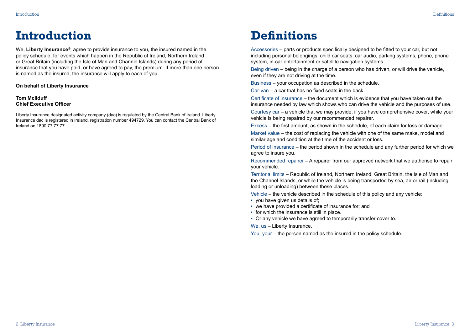# <span id="page-2-0"></span>**Introduction Definitions**

We, **Liberty Insurance®**, agree to provide insurance to you, the insured named in the policy schedule, for events which happen in the Republic of Ireland, Northern Ireland or Great Britain (including the Isle of Man and Channel Islands) during any period of insurance that you have paid, or have agreed to pay, the premium. If more than one person is named as the insured, the insurance will apply to each of you.

**On behalf of Liberty Insurance** 

#### **Tom McIlduff Chief Executive Officer**

Liberty Insurance designated activity company (dac) is regulated by the Central Bank of Ireland. Liberty Insurance dac is registered in Ireland, registration number 494729. You can contact the Central Bank of Ireland on 1890 77 77 77.

Accessories – parts or products specifically designed to be fitted to your car, but not including personal belongings, child car seats, car audio, parking systems, phone, phone system, in-car entertainment or satellite navigation systems.

Being driven – being in the charge of a person who has driven, or will drive the vehicle, even if they are not driving at the time.

Business – your occupation as described in the schedule.

Car-van – a car that has no fixed seats in the back.

Certificate of insurance – the document which is evidence that you have taken out the insurance needed by law which shows who can drive the vehicle and the purposes of use.

Courtesy car – a vehicle that we may provide, if you have comprehensive cover, while your vehicle is being repaired by our recommended repairer.

Excess – the first amount, as shown in the schedule, of each claim for loss or damage.

Market value – the cost of replacing the vehicle with one of the same make, model and similar age and condition at the time of the accident or loss.

Period of insurance – the period shown in the schedule and any further period for which we agree to insure you.

Recommended repairer – A repairer from our approved network that we authorise to repair your vehicle.

Territorial limits – Republic of Ireland, Northern Ireland, Great Britain, the Isle of Man and the Channel Islands, or while the vehicle is being transported by sea, air or rail (including loading or unloading) between these places.

Vehicle – the vehicle described in the schedule of this policy and any vehicle:

- you have given us details of;
- we have provided a certificate of insurance for; and
- for which the insurance is still in place.
- Or any vehicle we have agreed to temporarily transfer cover to.

We, us - Liberty Insurance.

You, your – the person named as the insured in the policy schedule.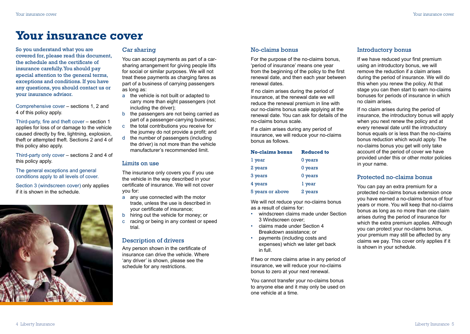# <span id="page-3-0"></span>**Your insurance cover**

So you understand what you are covered for, please read this document, the schedule and the certificate of insurance carefully. You should pay special attention to the general terms, exceptions and conditions. If you have any questions, you should contact us or your insurance advisor.

Comprehensive cover – sections 1, 2 and 4 of this policy apply.

Third-party, fire and theft cover – section 1 applies for loss of or damage to the vehicle caused directly by fire, lightning, explosion, theft or attempted theft. Sections 2 and 4 of this policy also apply.

Third-party only cover – sections 2 and 4 of this policy apply.

The general exceptions and general conditions apply to all levels of cover.

Section 3 (windscreen cover) only applies if it is shown in the schedule.



#### Car sharing

You can accept payments as part of a carsharing arrangement for giving people lifts for social or similar purposes. We will not treat these payments as charging fares as part of a business of carrying passengers as long as:

- a the vehicle is not built or adapted to carry more than eight passengers (not including the driver);
- b the passengers are not being carried as part of a passenger-carrying business;
- c the total contributions you receive for the journey do not provide a profit; and
- d the number of passengers (including the driver) is not more than the vehicle manufacturer's recommended limit.

#### Limits on use

The insurance only covers you if you use the vehicle in the way described in your certificate of insurance. We will not cover you for:

- a any use connected with the motor trade, unless the use is described in your certificate of insurance;
- b hiring out the vehicle for money; or
- c racing or being in any contest or speed trial.

### Description of drivers

Any person shown in the certificate of insurance can drive the vehicle. Where 'any driver' is shown, please see the schedule for any restrictions.

#### No-claims bonus

For the purpose of the no-claims bonus, 'period of insurance' means one year from the beginning of the policy to the first renewal date, and then each year between renewal dates.

If no claim arises during the period of insurance, at the renewal date we will reduce the renewal premium in line with our no-claims bonus scale applying at the renewal date. You can ask for details of the no-claims bonus scale.

If a claim arises during any period of insurance, we will reduce your no-claims bonus as follows.

| <b>No-claims bonus</b> | <b>Reduced to</b> |  |  |  |
|------------------------|-------------------|--|--|--|
| l year                 | 0 years           |  |  |  |
| 2 years                | 0 years           |  |  |  |
| 3 years                | 0 years           |  |  |  |
| 4 years                | l year            |  |  |  |
| 5 years or above       | 2 years           |  |  |  |

We will not reduce your no-claims bonus as a result of claims for:

- windscreen claims made under Section 3 Windscreen cover;
- claims made under Section 4 Breakdown assistance; or
- payments (including costs and expenses) which we later get back in full.

If two or more claims arise in any period of insurance, we will reduce your no-claims bonus to zero at your next renewal.

You cannot transfer your no-claims bonus to anyone else and it may only be used on one vehicle at a time.

### Introductory bonus

If we have reduced your first premium using an introductory bonus, we will remove the reduction if a claim arises during the period of insurance. We will do this when you renew the policy. At that stage you can then start to earn no-claims bonuses for periods of insurance in which no claim arises.

If no claim arises during the period of insurance, the introductory bonus will apply when you next renew the policy and at every renewal date until the introductory bonus equals or is less than the no-claims bonus reduction which would apply. The no-claims bonus you get will only take account of the period of cover we have provided under this or other motor policies in your name.

#### Protected no-claims bonus

You can pay an extra premium for a protected no-claims bonus extension once you have earned a no-claims bonus of four years or more. You will keep that no-claims bonus as long as no more than one claim arises during the period of insurance for which the extra premium applies. Although you can protect your no-claims bonus, your premium may still be affected by any claims we pay. This cover only applies if it is shown in your schedule.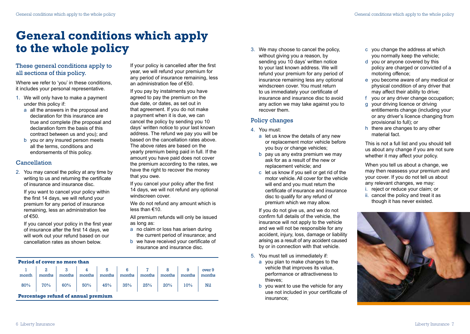# <span id="page-4-0"></span>**General conditions which apply to the whole policy**

# These general conditions apply to all sections of this policy.

Where we refer to 'you' in these conditions, it includes your personal representative.

- 1. We will only have to make a payment under this policy if:
	- a all the answers in the proposal and declaration for this insurance are true and complete (the proposal and declaration form the basis of this contract between us and you); and
	- b you or any insured person meets all the terms, conditions and endorsements of this policy.

### Cancellation

2. You may cancel the policy at any time by writing to us and returning the certificate of insurance and insurance disc.

If you want to cancel your policy within the first 14 days, we will refund your premium for any period of insurance remaining, less an administration fee of  $€50$ .

If you cancel your policy in the first year of insurance after the first 14 days, we will work out your refund based on our cancellation rates as shown below.

If your policy is cancelled after the first year, we will refund your premium for any period of insurance remaining, less an administration fee of €50.

If you pay by instalments you have agreed to pay the premium on the due date, or dates, as set out in that agreement. If you do not make a payment when it is due, we can cancel the policy by sending you 10 days' written notice to your last known address. The refund we pay you will be based on the cancellation rates above. The above rates are based on the yearly premium being paid in full. If the amount you have paid does not cover the premium according to the rates, we have the right to recover the money that you owe.

If you cancel your policy after the first 14 days, we will not refund any optional windscreen cover.

We do not refund any amount which is less than €10.

All premium refunds will only be issued as long as:

- a no claim or loss has arisen during the current period of insurance; and
- b we have received your certificate of insurance and insurance disc.

3. We may choose to cancel the policy, without giving you a reason, by sending you 10 days' written notice to your last known address. We will refund your premium for any period of insurance remaining less any optional windscreen cover. You must return to us immediately your certificate of insurance and insurance disc to avoid any action we may take against you to recover them.

### Policy changes

- 4. You must:
	- a let us know the details of any new or replacement motor vehicle before you buy or change vehicles;
	- b pay us any extra premium we may ask for as a result of the new or replacement vehicle; and
	- c let us know if you sell or get rid of the motor vehicle. All cover for the vehicle will end and you must return the certificate of insurance and insurance disc to qualify for any refund of premium which we may allow.

If you do not give us, and we do not confirm full details of the vehicle, the insurance will not apply to the vehicle and we will not be responsible for any accident, injury, loss, damage or liability arising as a result of any accident caused by or in connection with that vehicle.

- 5. You must tell us immediately if:
	- a you plan to make changes to the vehicle that improves its value, performance or attractiveness to thieves;
	- b you want to use the vehicle for any use not included in your certificate of insurance;
- c you change the address at which you normally keep the vehicle;
- d you or anyone covered by this policy are charged or convicted of a motoring offence;
- e you become aware of any medical or physical condition of any driver that may affect their ability to drive;
- f you or any driver change occupation;
- g your driving licence or driving entitlements change (including your or any driver's licence changing from provisional to full); or
- h there are changes to any other material fact.

This is not a full list and you should tell us about any change if you are not sure whether it may affect your policy.

When you tell us about a change, we may then reassess your premium and your cover. If you do not tell us about any relevant changes, we may:

- i. reject or reduce your claim; or
- ii. cancel the policy and treat it as though it has never existed.



| Period of cover no more than |  |  |  |  |  |  |
|------------------------------|--|--|--|--|--|--|
|------------------------------|--|--|--|--|--|--|

| month |                                            |  |  |  |  |
|-------|--------------------------------------------|--|--|--|--|
|       | $80\%$ 70% 60% 50% 45% 35% 25% 20% 10% Nil |  |  |  |  |

**Percentage refund of annual premium**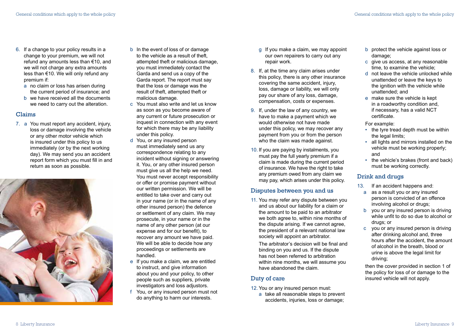- 6. If a change to your policy results in a change to your premium, we will not refund any amounts less than €10, and we will not charge any extra amounts less than €10. We will only refund any premium if:
	- a no claim or loss has arisen during the current period of insurance; and
	- b we have received all the documents we need to carry out the alteration.

### Claims

7. a You must report any accident, injury, loss or damage involving the vehicle or any other motor vehicle which is insured under this policy to us immediately (or by the next working day). We may send you an accident report form which you must fill in and return as soon as possible.



- b In the event of loss of or damage to the vehicle as a result of theft. attempted theft or malicious damage, you must immediately contact the Garda and send us a copy of the Garda report. The report must say that the loss or damage was the result of theft, attempted theft or malicious damage.
- c You must also write and let us know as soon as you become aware of any current or future prosecution or inquest in connection with any event for which there may be any liability under this policy.
- d You, or any insured person must immediately send us any correspondence relating to any incident without signing or answering it. You, or any other insured person must give us all the help we need. You must never accept responsibility or offer or promise payment without our written permission. We will be entitled to take over and carry out in your name (or in the name of any other insured person) the defence or settlement of any claim. We may prosecute, in your name or in the name of any other person (at our expense and for our benefit), to recover any amount we have paid. We will be able to decide how any proceedings or settlements are handled.
- e If you make a claim, we are entitled to instruct, and give information about you and your policy, to other people such as suppliers, private investigators and loss adjustors.
- f You, or any insured person must not do anything to harm our interests.
- g If you make a claim, we may appoint our own repairers to carry out any repair work.
- 8. If, at the time any claim arises under this policy, there is any other insurance covering the same accident, injury, loss, damage or liability, we will only pay our share of any loss, damage, compensation, costs or expenses.
- 9. If, under the law of any country, we have to make a payment which we would otherwise not have made under this policy, we may recover any payment from you or from the person who the claim was made against.
- 10. If you are paying by instalments, you must pay the full yearly premium if a claim is made during the current period of insurance. We have the right to take any premium owed from any claim we may pay, which arises under this policy.

# Disputes between you and us

11. You may refer any dispute between you and us about our liability for a claim or the amount to be paid to an arbitrator we both agree to, within nine months of the dispute arising. If we cannot agree, the president of a relevant national law society will appoint an arbitrator.

The arbitrator's decision will be final and binding on you and us. If the dispute has not been referred to arbitration within nine months, we will assume you have abandoned the claim.

### Duty of care

- 12. You or any insured person must:
	- a take all reasonable steps to prevent accidents, injuries, loss or damage;
- b protect the vehicle against loss or damage;
- c give us access, at any reasonable time, to examine the vehicle;
- d not leave the vehicle unlocked while unattended or leave the keys to the ignition with the vehicle while unattended; and
- e make sure the vehicle is kept in a roadworthy condition and, if necessary, has a valid NCT certificate.

#### For example:

- the tyre tread depth must be within the legal limits;
- all lights and mirrors installed on the vehicle must be working properly; and
- the vehicle's brakes (front and back) must be working correctly.

# Drink and drugs

- 13. If an accident happens and:
- a as a result you or any insured person is convicted of an offence involving alcohol or drugs;
- b you or any insured person is driving while unfit to do so due to alcohol or drugs; or
- c you or any insured person is driving after drinking alcohol and, three hours after the accident, the amount of alcohol in the breath, blood or urine is above the legal limit for driving;

then the cover provided in section 1 of the policy for loss of or damage to the insured vehicle will not apply.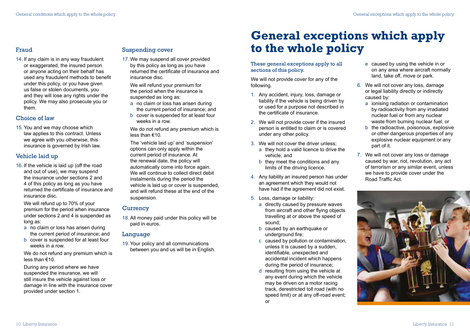# <span id="page-6-0"></span>Fraud

14. If any claim is in any way fraudulent or exaggerated, the insured person or anyone acting on their behalf has used any fraudulent methods to benefit under this policy, or you have given us false or stolen documents, you and they will lose any rights under the policy. We may also prosecute you or them.

# Choice of law

15. You and we may choose which law applies to this contract. Unless we agree with you otherwise, this insurance is governed by Irish law.

# Vehicle laid up

16. If the vehicle is laid up (off the road and out of use), we may suspend the insurance under sections 2 and 4 of this policy as long as you have returned the certificate of insurance and insurance disc.

We will refund up to 70% of your premium for the period when insurance under sections 2 and 4 is suspended as long as:

- a no claim or loss has arisen during the current period of insurance; and
- b cover is suspended for at least four weeks in a row.

We do not refund any premium which is less than €10.

During any period where we have suspended the insurance, we will still insure the vehicle against loss or damage in line with the insurance cover provided under section 1.

# Suspending cover

17. We may suspend all cover provided by this policy as long as you have returned the certificate of insurance and insurance disc.

We will refund your premium for the period when the insurance is suspended as long as:

- a no claim or loss has arisen during the current period of insurance; and
- b cover is suspended for at least four weeks in a row.

We do not refund any premium which is less than €10.

The 'vehicle laid up' and 'suspension' options can only apply within the current period of insurance. At the renewal date, the policy will automatically come into force again. We will continue to collect direct debit instalments during the period the vehicle is laid up or cover is suspended, and will refund these at the end of the suspension.

# **Currency**

18. All money paid under this policy will be paid in euros.

# Language

19. Your policy and all communications between you and us will be in English.

# **General exceptions which apply to the whole policy**

#### These general exceptions apply to all sections of this policy.

We will not provide cover for any of the following.

- 1. Any accident, injury, loss, damage or liability if the vehicle is being driven by or used for a purpose not described in the certificate of insurance.
- 2. We will not provide cover if the insured person is entitled to claim or is covered under any other policy.
- 3. We will not cover the driver unless; a they hold a valid licence to drive the vehicle; and
	- b they meet the conditions and any limits of the driving licence.
- 4. Any liability an insured person has under an agreement which they would not have had if the agreement did not exist.
- 5. Loss, damage or liability:
	- a directly caused by pressure waves from aircraft and other flying objects travelling at or above the speed of sound;
	- b caused by an earthquake or underground fire:
	- c caused by pollution or contamination, unless it is caused by a sudden, identifiable, unexpected and accidental incident which happens during the period of insurance;
	- d resulting from using the vehicle at any event during which the vehicle may be driven on a motor racing track, derestricted toll road (with no speed limit) or at any off-road event; or
- e caused by using the vehicle in or on any area where aircraft normally land, take off, move or park.
- 6. We will not cover any loss, damage or legal liability directly or indirectly caused by:
	- a ionising radiation or contamination by radioactivity from any irradiated nuclear fuel or from any nuclear waste from burning nuclear fuel; or
	- b the radioactive, poisonous, explosive or other dangerous properties of any explosive nuclear equipment or any part of it.
- 7. We will not cover any loss or damage caused by war, riot, revolution, any act of terrorism or any similar event, unless we have to provide cover under the Road Traffic Act.

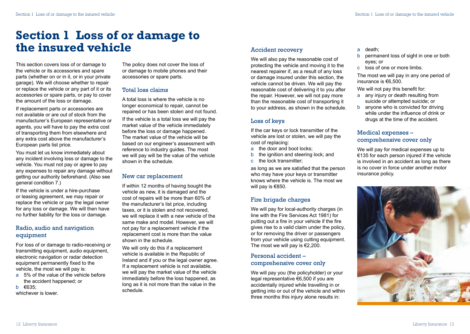# <span id="page-7-0"></span>**Section 1 Loss of or damage to the insured vehicle**

This section covers loss of or damage to the vehicle or its accessories and spare parts (whether on or in it, or in your private garage). We will choose whether to repair or replace the vehicle or any part of it or its accessories or spare parts, or pay to cover the amount of the loss or damage.

If replacement parts or accessories are not available or are out of stock from the manufacturer's European representative or agents, you will have to pay the extra cost of transporting them from elsewhere and any extra cost above the manufacturer's European parts list price.

You must let us know immediately about any incident involving loss or damage to the vehicle. You must not pay or agree to pay any expenses to repair any damage without getting our authority beforehand. (Also see general condition 7.)

If the vehicle is under a hire-purchase or leasing agreement, we may repair or replace the vehicle or pay the legal owner for any loss or damage. We will then have no further liability for the loss or damage.

# Radio, audio and navigation equipment

For loss of or damage to radio-receiving or transmitting equipment, audio equipment, electronic navigation or radar detection equipment permanently fixed to the vehicle, the most we will pay is:

a 5% of the value of the vehicle before the accident happened; or

b €635;

whichever is lower.

The policy does not cover the loss of or damage to mobile phones and their accessories or spare parts.

# Total loss claims

A total loss is where the vehicle is no longer economical to repair, cannot be repaired or has been stolen and not found.

If the vehicle is a total loss we will pay the market value of the vehicle immediately before the loss or damage happened. The market value of the vehicle will be based on our engineer's assessment with reference to industry guides. The most we will pay will be the value of the vehicle shown in the schedule.

# New car replacement

If within 12 months of having bought the vehicle as new, it is damaged and the cost of repairs will be more than 60% of the manufacturer's list price, including taxes, or it is stolen and not recovered, we will replace it with a new vehicle of the same make and model. However, we will not pay for a replacement vehicle if the replacement cost is more than the value shown in the schedule.

We will only do this if a replacement vehicle is available in the Republic of Ireland and if you or the legal owner agree. If a replacement vehicle is not available, we will pay the market value of the vehicle immediately before the loss happened, as long as it is not more than the value in the schedule.

# Accident recovery

We will also pay the reasonable cost of protecting the vehicle and moving it to the nearest repairer if, as a result of any loss or damage insured under this section, the vehicle cannot be driven. We will pay the reasonable cost of delivering it to you after the repair. However, we will not pay more than the reasonable cost of transporting it to your address, as shown in the schedule.

# Loss of keys

If the car keys or lock transmitter of the vehicle are lost or stolen, we will pay the cost of replacing:

- a the door and boot locks;
- b the ignition and steering lock; and c the lock transmitter;

as long as we are satisfied that the person who may have your keys or transmitter knows where the vehicle is. The most we will pay is €850.

# Fire brigade charges

We will pay for local-authority charges (in line with the Fire Services Act 1981) for putting out a fire in your vehicle if the fire gives rise to a valid claim under the policy, or for removing the driver or passengers from your vehicle using cutting equipment. The most we will pay is  $€2,200$ .

# Personal accident – comprehensive cover only

We will pay you (the policyholder) or your legal representative €6,500 if you are accidentally injured while travelling in or getting into or out of the vehicle and within three months this injury alone results in:

a death;

- b permanent loss of sight in one or both eyes; or
- c loss of one or more limbs.

The most we will pay in any one period of insurance is €6,500.

We will not pay this benefit for:

- a any injury or death resulting from suicide or attempted suicide; or
- b anyone who is convicted for driving while under the influence of drink or drugs at the time of the accident.

# Medical expenses – comprehensive cover only

We will pay for medical expenses up to €135 for each person injured if the vehicle is involved in an accident as long as there is no cover in force under another motor insurance policy.

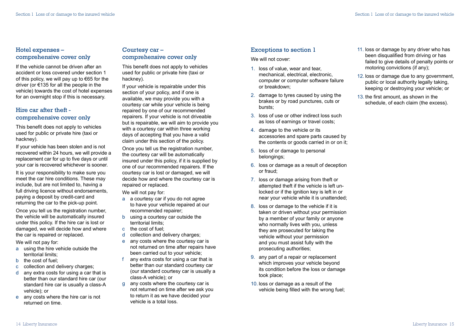# Hotel expenses – comprehensive cover only

If the vehicle cannot be driven after an accident or loss covered under section 1 of this policy, we will pay up to  $\epsilon$ 65 for the driver (or €135 for all the people in the vehicle) towards the cost of hotel expenses for an overnight stop if this is necessary.

# Hire car after theft comprehensive cover only

This benefit does not apply to vehicles used for public or private hire (taxi or hackney).

If your vehicle has been stolen and is not recovered within 24 hours, we will provide a replacement car for up to five days or until your car is recovered whichever is sooner.

It is your responsibility to make sure you meet the car hire conditions. These may include, but are not limited to, having a full driving licence without endorsements, paying a deposit by credit-card and returning the car to the pick-up point.

Once you tell us the registration number, the vehicle will be automatically insured under this policy. If the hire car is lost or damaged, we will decide how and where the car is repaired or replaced.

We will not pay for:

- a using the hire vehicle outside the territorial limits;
- b the cost of fuel;
- c collection and delivery charges;
- d any extra costs for using a car that is better than our standard hire car (our standard hire car is usually a class-A vehicle); or
- e any costs where the hire car is not returned on time.

### Courtesy car – comprehensive cover only

This benefit does not apply to vehicles used for public or private hire (taxi or hackney).

If your vehicle is repairable under this section of your policy, and if one is available, we may provide you with a courtesy car while your vehicle is being repaired by one of our recommended repairers. If your vehicle is not driveable but is repairable, we will aim to provide you with a courtesy car within three working days of accepting that you have a valid claim under this section of the policy.

Once you tell us the registration number, the courtesy car will be automatically insured under this policy, if it is supplied by one of our recommended repairers. If the courtesy car is lost or damaged, we will decide how and where the courtesy car is repaired or replaced.

We will not pay for:

- a a courtesy car if you do not agree to have your vehicle repaired at our recommended repairer;
- b using a courtesy car outside the territorial limits;
- c the cost of fuel;
- d collection and delivery charges;
- e any costs where the courtesy car is not returned on time after repairs have been carried out to your vehicle;
- any extra costs for using a car that is better than our standard courtesy car (our standard courtesy car is usually a class-A vehicle); or
- g any costs where the courtesy car is not returned on time after we ask you to return it as we have decided your vehicle is a total loss.

# Exceptions to section 1

We will not cover:

- 1. loss of value, wear and tear, mechanical, electrical, electronic, computer or computer software failure or breakdown;
- 2. damage to tyres caused by using the brakes or by road punctures, cuts or bursts;
- 3. loss of use or other indirect loss such as loss of earnings or travel costs;
- 4. damage to the vehicle or its accessories and spare parts caused by the contents or goods carried in or on it;
- 5. loss of or damage to personal belongings;
- 6. loss or damage as a result of deception or fraud;
- 7. loss or damage arising from theft or attempted theft if the vehicle is left unlocked or if the ignition key is left in or near your vehicle while it is unattended;
- 8. loss or damage to the vehicle if it is taken or driven without your permission by a member of your family or anyone who normally lives with you, unless they are prosecuted for taking the vehicle without your permission and you must assist fully with the prosecuting authorities;
- 9. any part of a repair or replacement which improves your vehicle beyond its condition before the loss or damage took place;
- 10. loss or damage as a result of the vehicle being filled with the wrong fuel;
- 11. loss or damage by any driver who has been disqualified from driving or has failed to give details of penalty points or motoring convictions (if any);
- 12. loss or damage due to any government, public or local authority legally taking, keeping or destroying your vehicle; or
- 13. the first amount, as shown in the schedule, of each claim (the excess).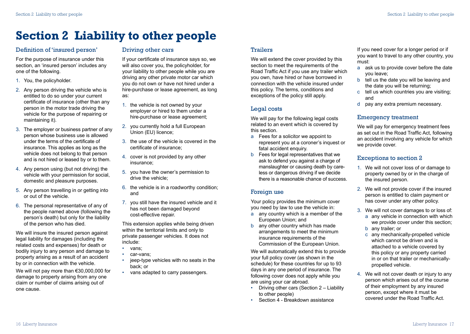# <span id="page-9-0"></span>**Section 2 Liability to other people**

#### Definition of 'insured person'

For the purpose of insurance under this section, an 'insured person' includes any one of the following.

- 1. You, the policyholder.
- 2. Any person driving the vehicle who is entitled to do so under your current certificate of insurance (other than any person in the motor trade driving the vehicle for the purpose of repairing or maintaining it).
- 3. The employer or business partner of any person whose business use is allowed under the terms of the certificate of insurance. This applies as long as the vehicle does not belong to that person and is not hired or leased by or to them.
- 4. Any person using (but not driving) the vehicle with your permission for social, domestic and pleasure purposes.
- 5. Any person travelling in or getting into or out of the vehicle.
- 6. The personal representative of any of the people named above (following the person's death) but only for the liability of the person who has died.

We will insure the insured person against legal liability for damages (including the related costs and expenses) for death or bodily injury to any person and damage to property arising as a result of an accident by or in connection with the vehicle.

We will not pay more than €30,000,000 for damage to property arising from any one claim or number of claims arising out of one cause.

# Driving other cars

If your certificate of insurance says so, we will also cover you, the policyholder, for your liability to other people while you are driving any other private motor car which you do not own or have not hired under a hire-purchase or lease agreement, as long as:

- 1. the vehicle is not owned by your employer or hired to them under a hire-purchase or lease agreement;
- 2. you currently hold a full European Union (EU) licence;
- 3. the use of the vehicle is covered in the certificate of insurance;
- 4. cover is not provided by any other insurance;
- 5. you have the owner's permission to drive the vehicle;
- 6. the vehicle is in a roadworthy condition; and
- 7. you still have the insured vehicle and it has not been damaged beyond cost-effective repair.

This extension applies while being driven within the territorial limits and only to private passenger vehicles. It does not include:

- vans;
- car-vans;
- jeep-type vehicles with no seats in the back; or
- vans adapted to carry passengers.

#### Trailers

We will extend the cover provided by this section to meet the requirements of the Road Traffic Act if you use any trailer which you own, have hired or have borrowed in connection with the vehicle insured under this policy. The terms, conditions and exceptions of the policy still apply.

# Legal costs

We will pay for the following legal costs related to an event which is covered by this section.

- a Fees for a solicitor we appoint to represent you at a coroner's inquest or fatal accident enquiry.
- b Fees for legal representatives that we ask to defend you against a charge of manslaughter or causing death by careless or dangerous driving if we decide there is a reasonable chance of success.

# Foreign use

Your policy provides the minimum cover you need by law to use the vehicle in:

- a any country which is a member of the European Union; and
- b any other country which has made arrangements to meet the minimum insurance requirements of the Commission of the European Union.

We will automatically extend this to provide your full policy cover (as shown in the schedule) for these countries for up to 93 days in any one period of insurance. The following cover does not apply while you are using your car abroad.

- Driving other cars (Section 2 Liability to other people)
- Section 4 Breakdown assistance

If you need cover for a longer period or if you want to travel to any other country, you must:

- a ask us to provide cover before the date you leave;
- b tell us the date you will be leaving and the date you will be returning;
- c tell us which countries you are visiting; and
- d pay any extra premium necessary.

# Emergency treatment

We will pay for emergency treatment fees as set out in the Road Traffic Act, following an accident involving any vehicle for which we provide cover.

### Exceptions to section 2

- 1. We will not cover loss of or damage to property owned by or in the charge of the insured person.
- 2. We will not provide cover if the insured person is entitled to claim payment or has cover under any other policy.
- 3. We will not cover damages to or loss of: a any vehicle in connection with which we provide cover under this section;
	- b any trailer; or
	- c any mechanically-propelled vehicle which cannot be driven and is attached to a vehicle covered by this policy or any property carried in or on that trailer or mechanicallypropelled vehicle.
- 4. We will not cover death or injury to any person which arises out of the course of their employment by any insured person, except where it must be covered under the Road Traffic Act.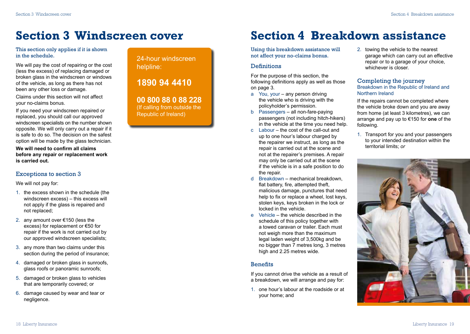# <span id="page-10-0"></span>**Section 3 Windscreen cover**

This section only applies if it is shown in the schedule.

We will pay the cost of repairing or the cost (less the excess) of replacing damaged or broken glass in the windscreen or windows of the vehicle, as long as there has not been any other loss or damage.

Claims under this section will not affect your no-claims bonus.

If you need your windscreen repaired or replaced, you should call our approved windscreen specialists on the number shown opposite. We will only carry out a repair if it is safe to do so. The decision on the safest option will be made by the glass technician.

**We will need to confirm all claims before any repair or replacement work is carried out.**

#### Exceptions to section 3

We will not pay for:

- 1. the excess shown in the schedule (the windscreen excess) – this excess will not apply if the glass is repaired and not replaced;
- 2. any amount over €150 (less the excess) for replacement or €50 for repair if the work is not carried out by our approved windscreen specialists;
- 3. any more than two claims under this section during the period of insurance;
- 4. damaged or broken glass in sunroofs, glass roofs or panoramic sunroofs;
- 5. damaged or broken glass to vehicles that are temporarily covered; or
- 6. damage caused by wear and tear or negligence.

24-hour windscreen helpline:

# **1890 94 4410**

**00 800 88 0 88 228**  (If calling from outside the Republic of Ireland)

# **Section 4 Breakdown assistance**

Using this breakdown assistance will not affect your no-claims bonus.

### **Definitions**

For the purpose of this section, the following definitions apply as well as those on page 3.

- a You, your any person driving the vehicle who is driving with the policyholder's permission.
- b Passengers all non-fare-paying passengers (not including hitch-hikers) in the vehicle at the time you need help.
- c Labour the cost of the call-out and up to one hour's labour charged by the repairer we instruct, as long as the repair is carried out at the scene and not at the repairer's premises. A repair may only be carried out at the scene if the vehicle is in a safe position to do the repair.
- d Breakdown mechanical breakdown, flat battery, fire, attempted theft, malicious damage, punctures that need help to fix or replace a wheel, lost keys, stolen keys, keys broken in the lock or locked in the vehicle.
- e Vehicle the vehicle described in the schedule of this policy together with a towed caravan or trailer. Each must not weigh more than the maximum legal laden weight of 3,500kg and be no bigger than 7 metres long, 3 metres high and 2.25 metres wide.

### Benefits

If you cannot drive the vehicle as a result of a breakdown, we will arrange and pay for:

1. one hour's labour at the roadside or at your home; and

2. towing the vehicle to the nearest garage which can carry out an effective repair or to a garage of your choice, whichever is closer.

#### Completing the journey Breakdown in the Republic of Ireland and Northern Ireland

If the repairs cannot be completed where the vehicle broke down and you are away from home (at least 3 kilometres), we can arrange and pay up to €150 for **one** of the following.

1. Transport for you and your passengers to your intended destination within the territorial limits; *or*

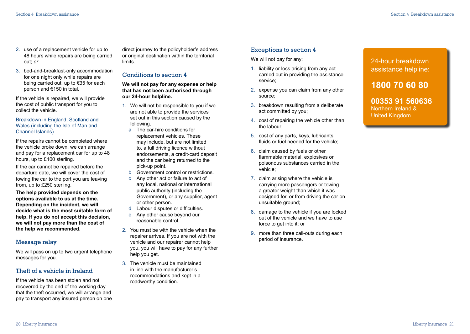- 2. use of a replacement vehicle for up to 48 hours while repairs are being carried out; *or*
- 3. bed-and-breakfast-only accommodation for one night only while repairs are being carried out, up to €35 for each person and €150 in total.

If the vehicle is repaired, we will provide the cost of public transport for you to collect the vehicle.

Breakdown in England, Scotland and Wales (including the Isle of Man and Channel Islands)

If the repairs cannot be completed where the vehicle broke down, we can arrange and pay for a replacement car for up to 48 hours, up to £100 sterling.

If the car cannot be repaired before the departure date, we will cover the cost of towing the car to the port you are leaving from, up to £250 sterling.

**The help provided depends on the options available to us at the time. Depending on the incident, we will decide what is the most suitable form of help. If you do not accept this decision, we will not pay more than the cost of the help we recommended.**

### Message relay

We will pass on up to two urgent telephone messages for you.

# Theft of a vehicle in Ireland

If the vehicle has been stolen and not recovered by the end of the working day that the theft occurred, we will arrange and pay to transport any insured person on one direct journey to the policyholder's address or original destination within the territorial limits.

#### Conditions to section 4

#### **We will not pay for any expense or help that has not been authorised through our 24-hour helpline.**

- 1. We will not be responsible to you if we are not able to provide the services set out in this section caused by the following.
	- a The car-hire conditions for replacement vehicles. These may include, but are not limited to, a full driving licence without endorsements, a credit-card deposit and the car being returned to the pick-up point.
	- b Government control or restrictions.
	- c Any other act or failure to act of any local, national or international public authority (including the Government), or any supplier, agent or other person.
- d Labour disputes or difficulties.
	- e Any other cause beyond our reasonable control.
- 2. You must be with the vehicle when the repairer arrives. If you are not with the vehicle and our repairer cannot help you, you will have to pay for any further help you get.
- 3. The vehicle must be maintained in line with the manufacturer's recommendations and kept in a roadworthy condition.

### Exceptions to section 4

We will not pay for any:

- 1. liability or loss arising from any act carried out in providing the assistance service;
- 2. expense you can claim from any other source;
- 3. breakdown resulting from a deliberate act committed by you;
- 4. cost of repairing the vehicle other than the labour;
- 5. cost of any parts, keys, lubricants, fluids or fuel needed for the vehicle;
- 6. claim caused by fuels or other flammable material, explosives or poisonous substances carried in the vehicle;
- 7. claim arising where the vehicle is carrying more passengers or towing a greater weight than which it was designed for, or from driving the car on unsuitable ground;
- 8. damage to the vehicle if you are locked out of the vehicle and we have to use force to get into it; or
- 9. more than three call-outs during each period of insurance.

# 24-hour breakdown assistance helpline:

**1800 70 60 80** 

**00353 91 560636**  Northern Ireland & United Kingdom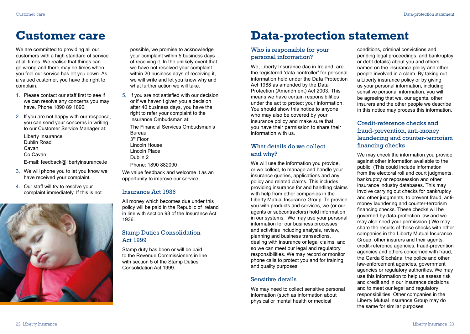We are committed to providing all our customers with a high standard of service at all times. We realise that things can go wrong and there may be times when you feel our service has let you down. As a valued customer, you have the right to complain.

- 1. Please contact our staff first to see if we can resolve any concerns you may have. Phone 1890 89 1890.
- 2. If you are not happy with our response, you can send your concerns in writing to our Customer Service Manager at:

Liberty Insurance Dublin Road Cavan Co Cavan.

E-mail: feedback@libertyinsurance.ie

- 3. We will phone you to let you know we have received your complaint.
- 4. Our staff will try to resolve your complaint immediately. If this is not



possible, we promise to acknowledge your complaint within 5 business days of receiving it. In the unlikely event that we have not resolved your complaint within 20 business days of receiving it, we will write and let you know why and what further action we will take.

5. If you are not satisfied with our decision or if we haven't given you a decision after 40 business days, you have the right to refer your complaint to the Insurance Ombudsman at:

The Financial Services Ombudsman's Bureau 3rd Floor Lincoln House Lincoln Place Dublin 2 Phone: 1890 882090

We value feedback and welcome it as an opportunity to improve our service.

#### Insurance Act 1936

All money which becomes due under this policy will be paid in the Republic of Ireland in line with section 93 of the Insurance Act 1936.

# Stamp Duties Consolidation Act 1999

Stamp duty has been or will be paid to the Revenue Commissioners in line with section 5 of the Stamp Duties Consolidation Act 1999.

# <span id="page-12-0"></span>**Customer care Data-protection statement**

# Who is responsible for your personal information?

We, Liberty Insurance dac in Ireland, are the registered 'data controller' for personal information held under the Data Protection Act 1988 as amended by the Data Protection (Amendment) Act 2003. This means we have certain responsibilities under the act to protect your information. You should show this notice to anyone who may also be covered by your insurance policy and make sure that you have their permission to share their information with us.

### What details do we collect and why?

We will use the information you provide, or we collect, to manage and handle your insurance queries, applications and any policy and related claims. This includes providing insurance for and handling claims with help from other companies in the Liberty Mutual Insurance Group. To provide you with products and services, we (or our agents or subcontractors) hold information in our systems. We may use your personal information for our business processes and activities including analysis, review, planning and business transactions, dealing with insurance or legal claims, and so we can meet our legal and regulatory responsibilities. We may record or monitor phone calls to protect you and for training and quality purposes.

#### Sensitive details

We may need to collect sensitive personal information (such as information about physical or mental health or medical

conditions, criminal convictions and pending legal proceedings, and bankruptcy or debt details) about you and others named on the insurance policy and other people involved in a claim. By taking out a Liberty insurance policy or by giving us your personal information, including sensitive personal information, you will be agreeing that we, our agents, other insurers and the other people we describe in this notice may process this information.

# Credit-reference checks and fraud-prevention, anti-money laundering and counter-terrorism financing checks

We may check the information you provide against other information available to the public. (This could include information from the electoral roll and court judgments. bankruptcy or repossession and other insurance industry databases. This may involve carrying out checks for bankruptcy and other judgments, to prevent fraud, antimoney laundering and counter-terrorism financing checks. These checks will be governed by data-protection law and we may also need your permission.) We may share the results of these checks with other companies in the Liberty Mutual Insurance Group, other insurers and their agents, credit-reference agencies, fraud-prevention agencies and others concerned with fraud, the Garda Síochána, the police and other law-enforcement agencies, government agencies or regulatory authorities. We may use this information to help us assess risk and credit and in our insurance decisions and to meet our legal and regulatory responsibilities. Other companies in the Liberty Mutual Insurance Group may do the same for similar purposes.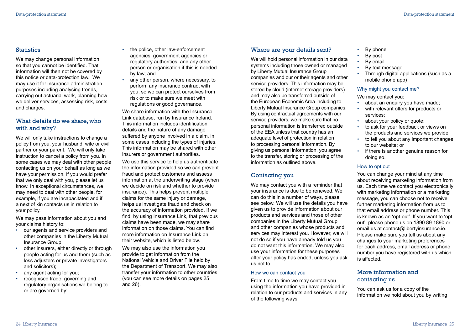#### **Statistics**

We may change personal information so that you cannot be identified. That information will then not be covered by this notice or data-protection law. We may use it for insurance administration purposes including analysing trends, carrying out actuarial work, planning how we deliver services, assessing risk, costs and charges.

## What details do we share, who with and why?

We will only take instructions to change a policy from you, your husband, wife or civil partner or your parent. We will only take instruction to cancel a policy from you. In some cases we may deal with other people contacting us on your behalf as long as we have your permission. If you would prefer that we only deal with you, please let us know. In exceptional circumstances, we may need to deal with other people, for example, if you are incapacitated and if a next of kin contacts us in relation to your policy.

We may pass information about you and your claims history to:

- our agents and service providers and other companies in the Liberty Mutual Insurance Group;
- other insurers, either directly or through people acting for us and them (such as loss adjusters or private investigators and solicitors);
- any agent acting for you;
- recognised trade, governing and regulatory organisations we belong to or are governed by;
- the police, other law-enforcement agencies, government agencies or regulatory authorities, and any other person or organisation if this is needed by law; and
- any other person, where necessary, to perform any insurance contract with you, so we can protect ourselves from risk or to make sure we meet with regulations or good governance.

We share information with the Insurance Link database, run by Insurance Ireland. This information includes identification details and the nature of any damage suffered by anyone involved in a claim, in some cases including the types of injuries. This information may be shared with other insurers or government authorities.

We use this service to help us authenticate the information provided so we can prevent fraud and protect customers and assess information at the underwriting stage (when we decide on risk and whether to provide insurance). This helps prevent multiple claims for the same injury or damage, helps us investigate fraud and check on the accuracy of information provided. If we find, by using Insurance Link, that previous claims have been made, we may share information on those claims. You can find more information on Insurance Link on their website, which is listed below.

We may also use the information you provide to get information from the National Vehicle and Driver File held by the Department of Transport. We may also transfer your information to other countries (you can see more details on pages 25 and 26).

#### Where are your details sent?

We will hold personal information in our data systems including those owned or managed by Liberty Mutual Insurance Group companies and our or their agents and other service providers. This information may be stored by cloud (internet storage providers) and may also be transferred outside of the European Economic Area including to Liberty Mutual Insurance Group companies. By using contractual agreements with our service providers, we make sure that no personal information is transferred outside of the EEA unless that country has an adequate level of protection in relation to processing personal information. By giving us personal information, you agree to the transfer, storing or processing of the information as outlined above.

# Contacting you

We may contact you with a reminder that your insurance is due to be renewed. We can do this in a number of ways, please see below. We will use the details you have given us to provide information about our products and services and those of other companies in the Liberty Mutual Group and other companies whose products and services may interest you. However, we will not do so if you have already told us you do not want this information. We may also use your information for these purposes after your policy has ended, unless you ask us not to.

#### How we can contact you

From time to time we may contact you using the information you have provided in relation to our products and services in any of the following ways.

- By phone
- By post
- By email<br>• By toxt m
- By text message
- Through digital applications (such as a mobile phone app)

#### Why might you contact me?

We may contact you:

- about an enquiry you have made;
- with relevant offers for products or
- services;
- about your policy or quote;
- to ask for your feedback or views on the products and services we provide;
- to tell you about any important changes to our website; or
- if there is another genuine reason for doing so.

#### How to opt out

You can change your mind at any time about receiving marketing information from us. Each time we contact you electronically with marketing information or a marketing message, you can choose not to receive further marketing information from us to that email address or phone number. This is known as an 'opt-out'. If you want to 'optout', please phone us on 1890 89 1890 or email us at contact@libertyinsurance.ie. Please make sure you tell us about any changes to your marketing preferences for each address, email address or phone number you have registered with us which is affected.

# More information and contacting us

You can ask us for a copy of the information we hold about you by writing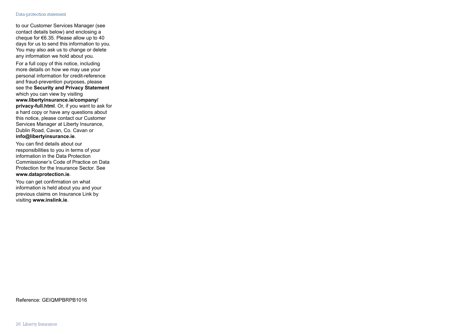#### Data-protection statement

to our Customer Services Manager (see contact details below) and enclosing a cheque for  $€6.35$ . Please allow up to 40 days for us to send this information to you. You may also ask us to change or delete any information we hold about you.

For a full copy of this notice, including more details on how we may use your personal information for credit-reference and fraud-prevention purposes, please see the **Security and Privacy Statement** which you can view by visiting **www.libertyinsurance.ie/company/ privacy-full.html**. Or, if you want to ask for a hard copy or have any questions about this notice, please contact our Customer Services Manager at Liberty Insurance, Dublin Road, Cavan, Co. Cavan or **info@libertyinsurance.ie**.

You can find details about our responsibilities to you in terms of your information in the Data Protection Commissioner's Code of Practice on Data Protection for the Insurance Sector. See **www.dataprotection.ie**.

You can get confirmation on what information is held about you and your previous claims on Insurance Link by visiting **www.inslink.ie**.

Reference: GEIQMPBRPB1016